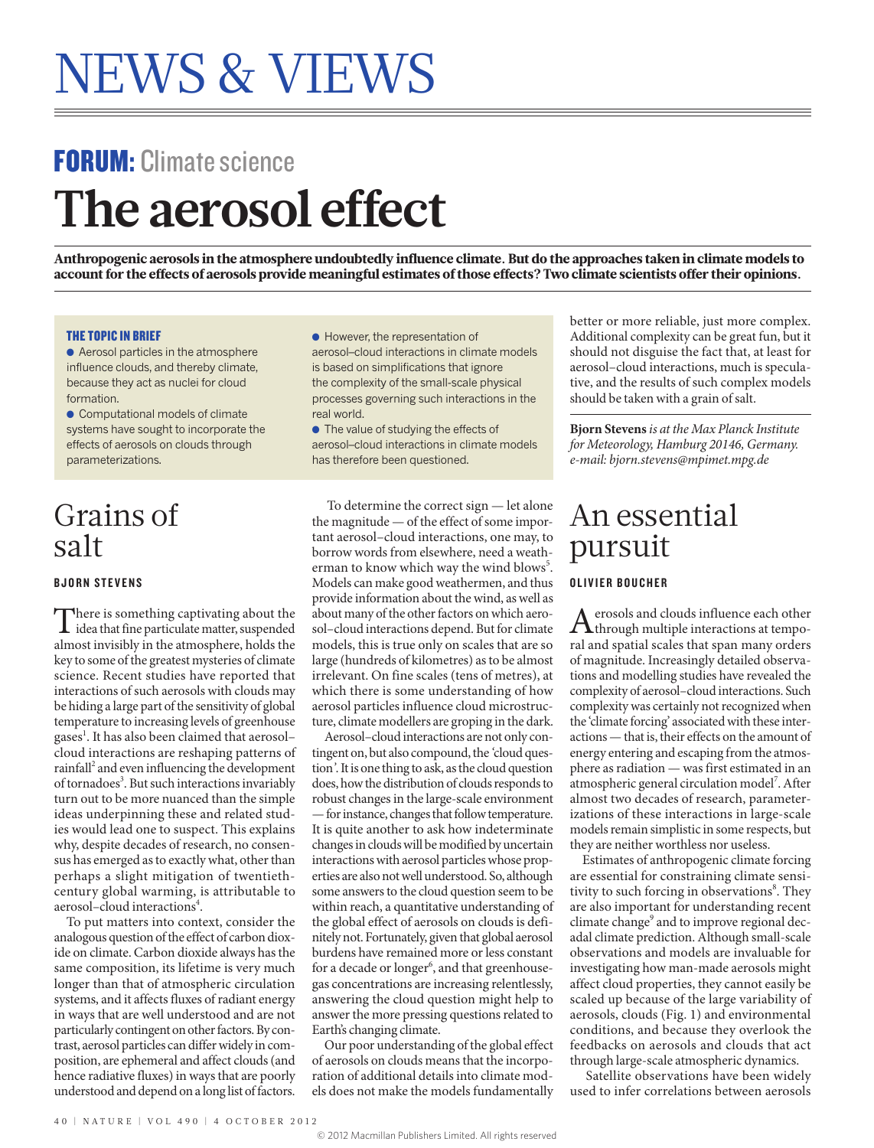# FORUM: Climate science **The aerosol effect**

Anthropogenic aerosols in the atmosphere undoubtedly influence climate. But do the approaches taken in climate models to account for the effects of aerosols provide meaningful estimates of those effects? Two climate scientists offer their opinions.

### THE TOPIC IN BRIEF

● Aerosol particles in the atmosphere influence clouds, and thereby climate, because they act as nuclei for cloud formation.

● Computational models of climate systems have sought to incorporate the effects of aerosols on clouds through parameterizations.

## Grains of salt

### BJORN STEVENS

There is something captivating about the<br>idea that fine particulate matter, suspended<br>almost invisibly in the atmosphere, holds the almost invisibly in the atmosphere, holds the key to some of the greatest mysteries of climate science. Recent studies have reported that interactions of such aerosols with clouds may be hiding a large part of the sensitivity of global temperature to increasing levels of greenhouse gases<sup>1</sup>. It has also been claimed that aerosol– cloud interactions are reshaping patterns of rainfall<sup>2</sup> and even influencing the development of tornadoes<sup>3</sup>. But such interactions invariably turn out to be more nuanced than the simple ideas underpinning these and related studies would lead one to suspect. This explains why, despite decades of research, no consensus has emerged as to exactly what, other than perhaps a slight mitigation of twentiethcentury global warming, is attributable to aerosol–cloud interactions<sup>4</sup>.

To put matters into context, consider the analogous question of the effect of carbon dioxide on climate. Carbon dioxide always has the same composition, its lifetime is very much longer than that of atmospheric circulation systems, and it affects fluxes of radiant energy in ways that are well understood and are not particularly contingent on other factors. By contrast, aerosol particles can differ widely in composition, are ephemeral and affect clouds (and hence radiative fluxes) in ways that are poorly understood and depend on a long list of factors.

● However, the representation of aerosol–cloud interactions in climate models is based on simplifications that ignore the complexity of the small-scale physical processes governing such interactions in the real world.

● The value of studying the effects of aerosol–cloud interactions in climate models has therefore been questioned.

 To determine the correct sign — let alone the magnitude — of the effect of some important aerosol–cloud interactions, one may, to borrow words from elsewhere, need a weatherman to know which way the wind blows<sup>5</sup>. Models can make good weathermen, and thus provide information about the wind, as well as about many of the other factors on which aerosol–cloud interactions depend. But for climate models, this is true only on scales that are so large (hundreds of kilometres) as to be almost irrelevant. On fine scales (tens of metres), at which there is some understanding of how aerosol particles influence cloud microstructure, climate modellers are groping in the dark.

Aerosol–cloud interactions are not only contingent on, but also compound, the *'*cloud question*'*. It is one thing to ask, as the cloud question does, how the distribution of clouds responds to robust changes in the large-scale environment — for instance, changes that follow temperature. It is quite another to ask how indeterminate changes in clouds will be modified by uncertain interactions with aerosol particles whose properties are also not well understood. So, although some answers to the cloud question seem to be within reach, a quantitative understanding of the global effect of aerosols on clouds is definitely not. Fortunately, given that global aerosol burdens have remained more or less constant for a decade or longer<sup>6</sup>, and that greenhousegas concentrations are increasing relentlessly, answering the cloud question might help to answer the more pressing questions related to Earth's changing climate.

Our poor understanding of the global effect of aerosols on clouds means that the incorporation of additional details into climate models does not make the models fundamentally better or more reliable, just more complex. Additional complexity can be great fun, but it should not disguise the fact that, at least for aerosol–cloud interactions, much is speculative, and the results of such complex models should be taken with a grain of salt.

**Bjorn Stevens** *is at the Max Planck Institute for Meteorology, Hamburg 20146, Germany. e-mail: bjorn.stevens@mpimet.mpg.de*

## An essential pursuit

### OLIVIER BOUCHER

 $A$ erosols and clouds influence each other<br>  $A$ through multiple interactions at temporal and spatial scales that span many orders of magnitude. Increasingly detailed observations and modelling studies have revealed the complexity of aerosol–cloud interactions. Such complexity was certainly not recognized when the 'climate forcing' associated with these interactions — that is, their effects on the amount of energy entering and escaping from the atmosphere as radiation — was first estimated in an atmospheric general circulation model<sup>7</sup>. After almost two decades of research, parameterizations of these interactions in large-scale models remain simplistic in some respects, but they are neither worthless nor useless.

Estimates of anthropogenic climate forcing are essential for constraining climate sensitivity to such forcing in observations<sup>8</sup>. They are also important for understanding recent climate change<sup>9</sup> and to improve regional decadal climate prediction. Although small-scale observations and models are invaluable for investigating how man-made aerosols might affect cloud properties, they cannot easily be scaled up because of the large variability of aerosols, clouds (Fig. 1) and environmental conditions, and because they overlook the feedbacks on aerosols and clouds that act through large-scale atmospheric dynamics.

 Satellite observations have been widely used to infer correlations between aerosols